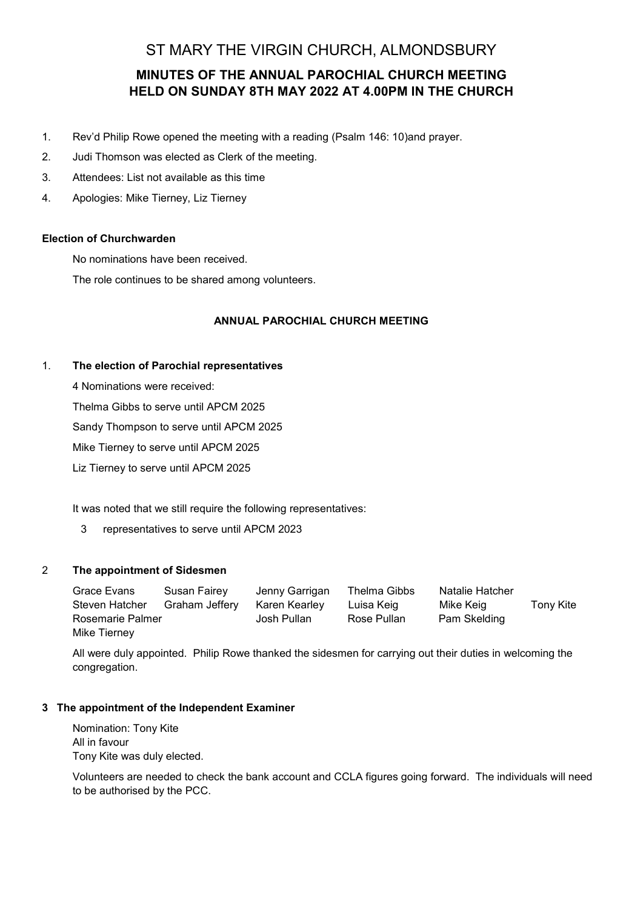# ST MARY THE VIRGIN CHURCH, ALMONDSBURY

# **MINUTES OF THE ANNUAL PAROCHIAL CHURCH MEETING HELD ON SUNDAY 8TH MAY 2022 AT 4.00PM IN THE CHURCH**

- 1. Rev'd Philip Rowe opened the meeting with a reading (Psalm 146: 10)and prayer.
- 2. Judi Thomson was elected as Clerk of the meeting.
- 3. Attendees: List not available as this time
- 4. Apologies: Mike Tierney, Liz Tierney

#### **Election of Churchwarden**

No nominations have been received.

The role continues to be shared among volunteers.

#### **ANNUAL PAROCHIAL CHURCH MEETING**

#### 1. **The election of Parochial representatives**

4 Nominations were received:

Thelma Gibbs to serve until APCM 2025

Sandy Thompson to serve until APCM 2025

Mike Tierney to serve until APCM 2025

Liz Tierney to serve until APCM 2025

It was noted that we still require the following representatives:

3 representatives to serve until APCM 2023

#### 2 **The appointment of Sidesmen**

| Grace Evans      | Susan Fairey   | Jenny Garrigan | Thelma Gibbs | Natalie Hatcher |           |
|------------------|----------------|----------------|--------------|-----------------|-----------|
| Steven Hatcher   | Graham Jefferv | Karen Kearley  | Luisa Keig   | Mike Keig       | Tony Kite |
| Rosemarie Palmer |                | Josh Pullan    | Rose Pullan  | Pam Skelding    |           |
| Mike Tierney     |                |                |              |                 |           |

All were duly appointed. Philip Rowe thanked the sidesmen for carrying out their duties in welcoming the congregation.

## **3 The appointment of the Independent Examiner**

Nomination: Tony Kite All in favour Tony Kite was duly elected.

Volunteers are needed to check the bank account and CCLA figures going forward. The individuals will need to be authorised by the PCC.